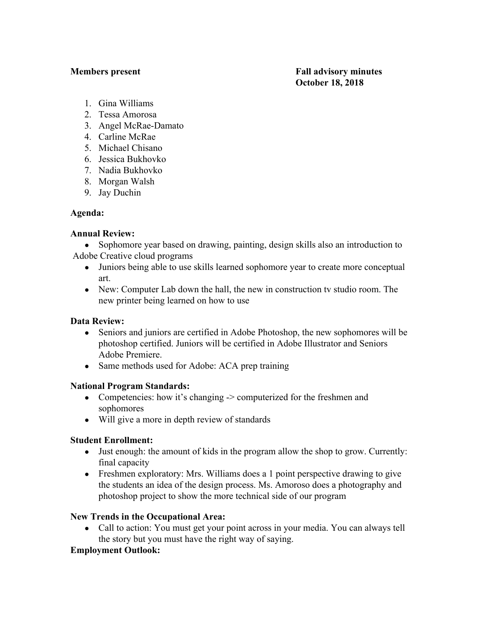**Members present Fall advisory minutes October 18, 2018**

- 1. Gina Williams
- 2. Tessa Amorosa
- 3. Angel McRae-Damato
- 4. Carline McRae
- 5. Michael Chisano
- 6. Jessica Bukhovko
- 7. Nadia Bukhovko
- 8. Morgan Walsh
- 9. Jay Duchin

# **Agenda:**

# **Annual Review:**

• Sophomore year based on drawing, painting, design skills also an introduction to Adobe Creative cloud programs

- Juniors being able to use skills learned sophomore year to create more conceptual art.
- New: Computer Lab down the hall, the new in construction tv studio room. The new printer being learned on how to use

# **Data Review:**

- Seniors and juniors are certified in Adobe Photoshop, the new sophomores will be photoshop certified. Juniors will be certified in Adobe Illustrator and Seniors Adobe Premiere.
- Same methods used for Adobe: ACA prep training

# **National Program Standards:**

- Competencies: how it's changing -> computerized for the freshmen and sophomores
- Will give a more in depth review of standards

# **Student Enrollment:**

- Just enough: the amount of kids in the program allow the shop to grow. Currently: final capacity
- Freshmen exploratory: Mrs. Williams does a 1 point perspective drawing to give the students an idea of the design process. Ms. Amoroso does a photography and photoshop project to show the more technical side of our program

# **New Trends in the Occupational Area:**

• Call to action: You must get your point across in your media. You can always tell the story but you must have the right way of saying.

# **Employment Outlook:**